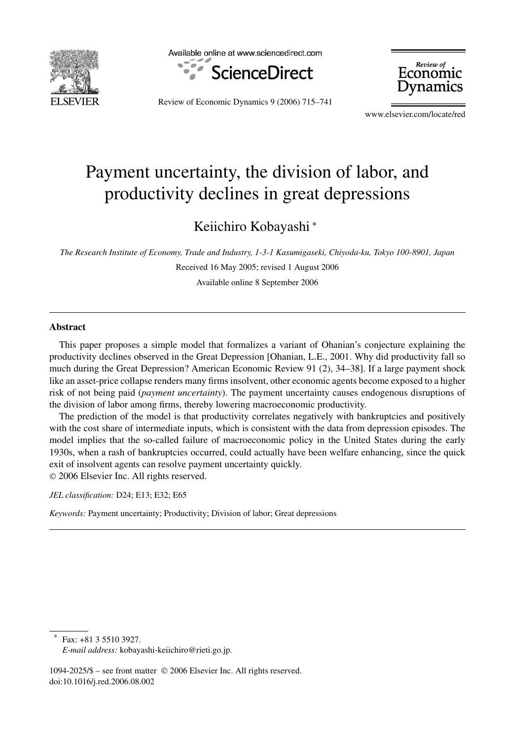

Available online at www.sciencedirect.com



Review of Economic Dynamics

Review of Economic Dynamics 9 (2006) 715–741

www.elsevier.com/locate/red

## Payment uncertainty, the division of labor, and productivity declines in great depressions

Keiichiro Kobayashi <sup>∗</sup>

*The Research Institute of Economy, Trade and Industry, 1-3-1 Kasumigaseki, Chiyoda-ku, Tokyo 100-8901, Japan*

Received 16 May 2005; revised 1 August 2006 Available online 8 September 2006

**Abstract**

This paper proposes a simple model that formalizes a variant of Ohanian's conjecture explaining the productivity declines observed in the Great Depression [Ohanian, L.E., 2001. Why did productivity fall so much during the Great Depression? American Economic Review 91 (2), 34–38]. If a large payment shock like an asset-price collapse renders many firms insolvent, other economic agents become exposed to a higher risk of not being paid (*payment uncertainty*). The payment uncertainty causes endogenous disruptions of the division of labor among firms, thereby lowering macroeconomic productivity.

The prediction of the model is that productivity correlates negatively with bankruptcies and positively with the cost share of intermediate inputs, which is consistent with the data from depression episodes. The model implies that the so-called failure of macroeconomic policy in the United States during the early 1930s, when a rash of bankruptcies occurred, could actually have been welfare enhancing, since the quick exit of insolvent agents can resolve payment uncertainty quickly. © 2006 Elsevier Inc. All rights reserved.

*JEL classification:* D24; E13; E32; E65

*Keywords:* Payment uncertainty; Productivity; Division of labor; Great depressions

Fax: +81 3 5510 3927.

1094-2025/\$ – see front matter © 2006 Elsevier Inc. All rights reserved. doi:10.1016/j.red.2006.08.002

*E-mail address:* kobayashi-keiichiro@rieti.go.jp.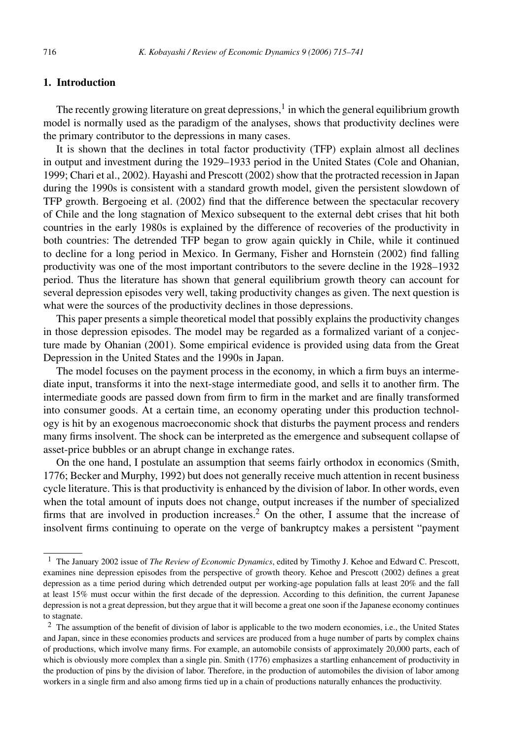## **1. Introduction**

The recently growing literature on great depressions,  $\frac{1}{2}$  in which the general equilibrium growth model is normally used as the paradigm of the analyses, shows that productivity declines were the primary contributor to the depressions in many cases.

It is shown that the declines in total factor productivity (TFP) explain almost all declines in output and investment during the 1929–1933 period in the United States (Cole and Ohanian, 1999; Chari et al., 2002). Hayashi and Prescott (2002) show that the protracted recession in Japan during the 1990s is consistent with a standard growth model, given the persistent slowdown of TFP growth. Bergoeing et al. (2002) find that the difference between the spectacular recovery of Chile and the long stagnation of Mexico subsequent to the external debt crises that hit both countries in the early 1980s is explained by the difference of recoveries of the productivity in both countries: The detrended TFP began to grow again quickly in Chile, while it continued to decline for a long period in Mexico. In Germany, Fisher and Hornstein (2002) find falling productivity was one of the most important contributors to the severe decline in the 1928–1932 period. Thus the literature has shown that general equilibrium growth theory can account for several depression episodes very well, taking productivity changes as given. The next question is what were the sources of the productivity declines in those depressions.

This paper presents a simple theoretical model that possibly explains the productivity changes in those depression episodes. The model may be regarded as a formalized variant of a conjecture made by Ohanian (2001). Some empirical evidence is provided using data from the Great Depression in the United States and the 1990s in Japan.

The model focuses on the payment process in the economy, in which a firm buys an intermediate input, transforms it into the next-stage intermediate good, and sells it to another firm. The intermediate goods are passed down from firm to firm in the market and are finally transformed into consumer goods. At a certain time, an economy operating under this production technology is hit by an exogenous macroeconomic shock that disturbs the payment process and renders many firms insolvent. The shock can be interpreted as the emergence and subsequent collapse of asset-price bubbles or an abrupt change in exchange rates.

On the one hand, I postulate an assumption that seems fairly orthodox in economics (Smith, 1776; Becker and Murphy, 1992) but does not generally receive much attention in recent business cycle literature. This is that productivity is enhanced by the division of labor. In other words, even when the total amount of inputs does not change, output increases if the number of specialized firms that are involved in production increases.<sup>2</sup> On the other, I assume that the increase of insolvent firms continuing to operate on the verge of bankruptcy makes a persistent "payment

<sup>1</sup> The January 2002 issue of *The Review of Economic Dynamics*, edited by Timothy J. Kehoe and Edward C. Prescott, examines nine depression episodes from the perspective of growth theory. Kehoe and Prescott (2002) defines a great depression as a time period during which detrended output per working-age population falls at least 20% and the fall at least 15% must occur within the first decade of the depression. According to this definition, the current Japanese depression is not a great depression, but they argue that it will become a great one soon if the Japanese economy continues to stagnate.

<sup>&</sup>lt;sup>2</sup> The assumption of the benefit of division of labor is applicable to the two modern economies, i.e., the United States and Japan, since in these economies products and services are produced from a huge number of parts by complex chains of productions, which involve many firms. For example, an automobile consists of approximately 20,000 parts, each of which is obviously more complex than a single pin. Smith (1776) emphasizes a startling enhancement of productivity in the production of pins by the division of labor. Therefore, in the production of automobiles the division of labor among workers in a single firm and also among firms tied up in a chain of productions naturally enhances the productivity.